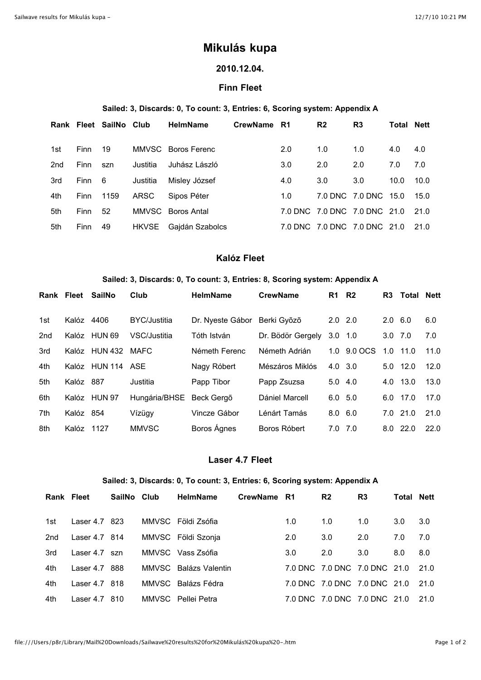# **Mikulás kupa**

# **2010.12.04.**

## **Finn Fleet**

#### **Sailed: 3, Discards: 0, To count: 3, Entries: 6, Scoring system: Appendix A**

|     |         | Rank Fleet SailNo Club |          | <b>HelmName</b>       | CrewName R1 |     | R <sub>2</sub> | R <sub>3</sub>               | <b>Total Nett</b> |      |
|-----|---------|------------------------|----------|-----------------------|-------------|-----|----------------|------------------------------|-------------------|------|
| 1st | Finn 19 |                        |          | MMVSC Boros Ferenc    |             | 2.0 | 1.0            | 1.0                          | 4.0               | 4.0  |
| 2nd | Finn    | szn                    | Justitia | Juhász László         |             | 3.0 | 2.0            | 2.0                          | 7.0               | 7.0  |
| 3rd | Finn 6  |                        | Justitia | Misley József         |             | 4.0 | 3.0            | 3.0                          | 10.0              | 10.0 |
| 4th | Finn    | 1159                   | ARSC     | Sipos Péter           |             | 1.0 |                | 7.0 DNC 7.0 DNC 15.0         |                   | 15.0 |
| 5th | Finn    | - 52                   |          | MMVSC Boros Antal     |             |     |                | 7.0 DNC 7.0 DNC 7.0 DNC 21.0 |                   | 21.0 |
| 5th | Finn    | - 49                   |          | HKVSE Gajdán Szabolcs |             |     |                | 7.0 DNC 7.0 DNC 7.0 DNC 21.0 |                   | 21.0 |

# **Kalóz Fleet**

#### **Sailed: 3, Discards: 0, To count: 3, Entries: 8, Scoring system: Appendix A**

| Rank | Fleet     | SailNo         | Club                | <b>HelmName</b>  | <b>CrewName</b>   | R <sub>1</sub> | R2              | R3             | Total      | <b>Nett</b> |
|------|-----------|----------------|---------------------|------------------|-------------------|----------------|-----------------|----------------|------------|-------------|
| 1st  | Kalóz     | 4406           | <b>BYC/Justitia</b> | Dr. Nyeste Gábor | Berki Győző       |                | $2.0$ $2.0$     | $2.0\quad 6.0$ |            | 6.0         |
| 2nd  | Kalóz     | HUN 69         | VSC/Justitia        | Tóth István      | Dr. Bödör Gergely | 3.0            | 1.0             | $3.0$ $7.0$    |            | 7.0         |
| 3rd  | Kalóz     | <b>HUN 432</b> | MAFC                | Németh Ferenc    | Németh Adrián     | 1.0            | 9.0 OCS         | 1.0            | 11.0       | 11.0        |
| 4th  | Kalóz     | <b>HUN 114</b> | ASE                 | Nagy Róbert      | Mészáros Miklós   |                | $4.0 \t3.0$     |                | $5.0$ 12.0 | 12.0        |
| 5th  | Kalóz     | 887            | Justitia            | Papp Tibor       | Papp Zsuzsa       |                | $5.0 \quad 4.0$ | 4.0            | 13.0       | 13.0        |
| 6th  | Kalóz     | <b>HUN 97</b>  | Hungária/BHSE       | Beck Geraõ       | Dániel Marcell    |                | $6.0$ 5.0       | 6.0            | 17.0       | 17.0        |
| 7th  | Kalóz 854 |                | Vízügy              | Vincze Gábor     | Lénárt Tamás      |                | $8.0\quad 6.0$  |                | $7.0$ 21.0 | 21.0        |
| 8th  | Kalóz     | 1127           | <b>MMVSC</b>        | Boros Ágnes      | Boros Róbert      |                | $7.0$ $7.0$     | 8.0            | 22.0       | 22.0        |

## **Laser 4.7 Fleet**

#### **Sailed: 3, Discards: 0, To count: 3, Entries: 6, Scoring system: Appendix A**

|       | <b>Rank Fleet</b> | SailNo Club | <b>HelmName</b>       | CrewName R1 |     | R <sub>2</sub> | R <sub>3</sub>                    | <b>Total Nett</b> |      |
|-------|-------------------|-------------|-----------------------|-------------|-----|----------------|-----------------------------------|-------------------|------|
| 1st l | Laser 4.7 823     |             | MMVSC Földi Zsófia    |             | 1.0 | 1.0            | 1.0                               | 3.0               | 3.0  |
| 2nd   | Laser 4.7 814     |             | MMVSC Földi Szonja    |             | 2.0 | 3.0            | 2.0                               | 7.0               | 7.0  |
| 3rd   | Laser 4.7 szn     |             | MMVSC Vass Zsófia     |             | 3.0 | 2.0            | 3.0                               | 8.0               | 8.0  |
| 4th   | Laser 4.7 888     |             | MMVSC Balázs Valentin |             |     |                | 7.0 DNC 7.0 DNC 7.0 DNC 21.0      |                   | 21.0 |
| 4th   | Laser 4.7 818     |             | MMVSC Balázs Fédra    |             |     |                | 7.0 DNC 7.0 DNC 7.0 DNC 21.0      |                   | 21.0 |
| 4th   | Laser 4.7 810     |             | MMVSC Pellei Petra    |             |     |                | 7.0 DNC 7.0 DNC 7.0 DNC 21.0 21.0 |                   |      |